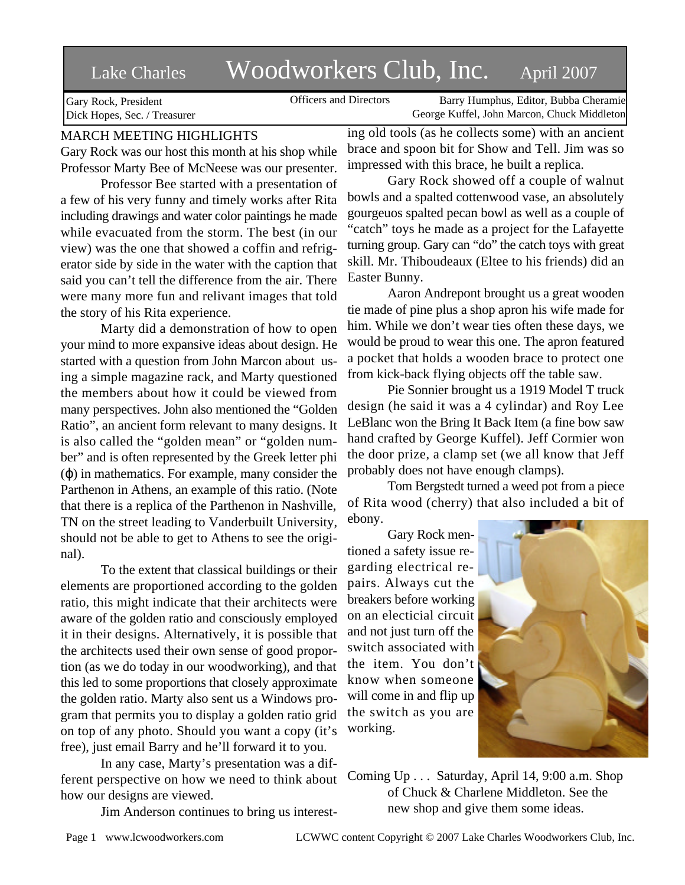# Lake Charles Woodworkers Club, Inc. April 2007

Officers and Directors Barry Humphus, Editor, Bubba Cheramie George Kuffel, John Marcon, Chuck Middleton

Gary Rock, President Dick Hopes, Sec. / Treasurer

# MARCH MEETING HIGHLIGHTS

Gary Rock was our host this month at his shop while Professor Marty Bee of McNeese was our presenter.

Professor Bee started with a presentation of a few of his very funny and timely works after Rita including drawings and water color paintings he made while evacuated from the storm. The best (in our view) was the one that showed a coffin and refrigerator side by side in the water with the caption that said you can't tell the difference from the air. There were many more fun and relivant images that told the story of his Rita experience.

Marty did a demonstration of how to open your mind to more expansive ideas about design. He started with a question from John Marcon about using a simple magazine rack, and Marty questioned the members about how it could be viewed from many perspectives. John also mentioned the "Golden Ratio", an ancient form relevant to many designs. It is also called the "golden mean" or "golden number" and is often represented by the Greek letter phi ( ) in mathematics. For example, many consider the Parthenon in Athens, an example of this ratio. (Note that there is a replica of the Parthenon in Nashville, TN on the street leading to Vanderbuilt University, should not be able to get to Athens to see the original).

To the extent that classical buildings or their elements are proportioned according to the golden ratio, this might indicate that their architects were aware of the golden ratio and consciously employed it in their designs. Alternatively, it is possible that the architects used their own sense of good proportion (as we do today in our woodworking), and that this led to some proportions that closely approximate the golden ratio. Marty also sent us a Windows program that permits you to display a golden ratio grid on top of any photo. Should you want a copy (it's free), just email Barry and he'll forward it to you.

In any case, Marty's presentation was a different perspective on how we need to think about how our designs are viewed.

Jim Anderson continues to bring us interest-

ing old tools (as he collects some) with an ancient brace and spoon bit for Show and Tell. Jim was so impressed with this brace, he built a replica.

Gary Rock showed off a couple of walnut bowls and a spalted cottenwood vase, an absolutely gourgeuos spalted pecan bowl as well as a couple of "catch" toys he made as a project for the Lafayette turning group. Gary can "do" the catch toys with great skill. Mr. Thiboudeaux (Eltee to his friends) did an Easter Bunny.

Aaron Andrepont brought us a great wooden tie made of pine plus a shop apron his wife made for him. While we don't wear ties often these days, we would be proud to wear this one. The apron featured a pocket that holds a wooden brace to protect one from kick-back flying objects off the table saw.

Pie Sonnier brought us a 1919 Model T truck design (he said it was a 4 cylindar) and Roy Lee LeBlanc won the Bring It Back Item (a fine bow saw hand crafted by George Kuffel). Jeff Cormier won the door prize, a clamp set (we all know that Jeff probably does not have enough clamps).

Tom Bergstedt turned a weed pot from a piece of Rita wood (cherry) that also included a bit of ebony.

Gary Rock mentioned a safety issue regarding electrical repairs. Always cut the breakers before working on an electicial circuit and not just turn off the switch associated with the item. You don't know when someone will come in and flip up the switch as you are working.



Coming Up . . . Saturday, April 14, 9:00 a.m. Shop of Chuck & Charlene Middleton. See the new shop and give them some ideas.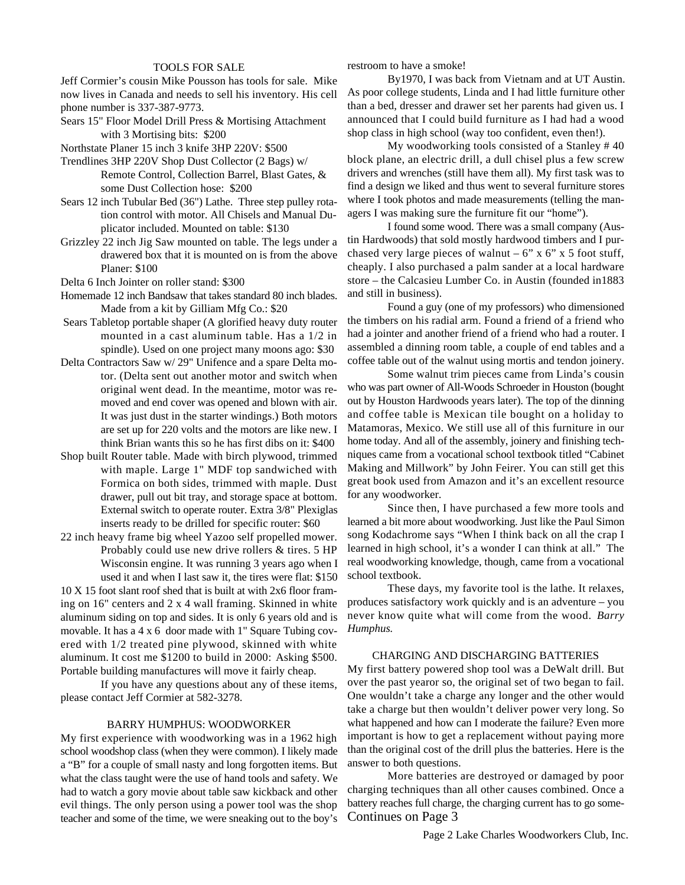### TOOLS FOR SALE

Jeff Cormier's cousin Mike Pousson has tools for sale. Mike now lives in Canada and needs to sell his inventory. His cell phone number is 337-387-9773.

Sears 15" Floor Model Drill Press & Mortising Attachment with 3 Mortising bits: \$200

Northstate Planer 15 inch 3 knife 3HP 220V: \$500

- Trendlines 3HP 220V Shop Dust Collector (2 Bags) w/ Remote Control, Collection Barrel, Blast Gates, & some Dust Collection hose: \$200
- Sears 12 inch Tubular Bed (36") Lathe. Three step pulley rotation control with motor. All Chisels and Manual Duplicator included. Mounted on table: \$130
- Grizzley 22 inch Jig Saw mounted on table. The legs under a drawered box that it is mounted on is from the above Planer: \$100

Delta 6 Inch Jointer on roller stand: \$300

- Homemade 12 inch Bandsaw that takes standard 80 inch blades. Made from a kit by Gilliam Mfg Co.: \$20
- Sears Tabletop portable shaper (A glorified heavy duty router mounted in a cast aluminum table. Has a 1/2 in spindle). Used on one project many moons ago: \$30
- Delta Contractors Saw w/ 29" Unifence and a spare Delta motor. (Delta sent out another motor and switch when original went dead. In the meantime, motor was removed and end cover was opened and blown with air. It was just dust in the starter windings.) Both motors are set up for 220 volts and the motors are like new. I think Brian wants this so he has first dibs on it: \$400
- Shop built Router table. Made with birch plywood, trimmed with maple. Large 1" MDF top sandwiched with Formica on both sides, trimmed with maple. Dust drawer, pull out bit tray, and storage space at bottom. External switch to operate router. Extra 3/8" Plexiglas inserts ready to be drilled for specific router: \$60
- 22 inch heavy frame big wheel Yazoo self propelled mower. Probably could use new drive rollers & tires. 5 HP Wisconsin engine. It was running 3 years ago when I used it and when I last saw it, the tires were flat: \$150

10 X 15 foot slant roof shed that is built at with 2x6 floor framing on 16" centers and 2 x 4 wall framing. Skinned in white aluminum siding on top and sides. It is only 6 years old and is movable. It has a 4 x 6 door made with 1" Square Tubing covered with 1/2 treated pine plywood, skinned with white aluminum. It cost me \$1200 to build in 2000: Asking \$500. Portable building manufactures will move it fairly cheap.

If you have any questions about any of these items, please contact Jeff Cormier at 582-3278.

## BARRY HUMPHUS: WOODWORKER

My first experience with woodworking was in a 1962 high school woodshop class (when they were common). I likely made a "B" for a couple of small nasty and long forgotten items. But what the class taught were the use of hand tools and safety. We had to watch a gory movie about table saw kickback and other evil things. The only person using a power tool was the shop teacher and some of the time, we were sneaking out to the boy's restroom to have a smoke!

By1970, I was back from Vietnam and at UT Austin. As poor college students, Linda and I had little furniture other than a bed, dresser and drawer set her parents had given us. I announced that I could build furniture as I had had a wood shop class in high school (way too confident, even then!).

My woodworking tools consisted of a Stanley # 40 block plane, an electric drill, a dull chisel plus a few screw drivers and wrenches (still have them all). My first task was to find a design we liked and thus went to several furniture stores where I took photos and made measurements (telling the managers I was making sure the furniture fit our "home").

I found some wood. There was a small company (Austin Hardwoods) that sold mostly hardwood timbers and I purchased very large pieces of walnut –  $6$ " x  $6$ " x  $5$  foot stuff, cheaply. I also purchased a palm sander at a local hardware store – the Calcasieu Lumber Co. in Austin (founded in1883 and still in business).

Found a guy (one of my professors) who dimensioned the timbers on his radial arm. Found a friend of a friend who had a jointer and another friend of a friend who had a router. I assembled a dinning room table, a couple of end tables and a coffee table out of the walnut using mortis and tendon joinery.

Some walnut trim pieces came from Linda's cousin who was part owner of All-Woods Schroeder in Houston (bought out by Houston Hardwoods years later). The top of the dinning and coffee table is Mexican tile bought on a holiday to Matamoras, Mexico. We still use all of this furniture in our home today. And all of the assembly, joinery and finishing techniques came from a vocational school textbook titled "Cabinet Making and Millwork" by John Feirer. You can still get this great book used from Amazon and it's an excellent resource for any woodworker.

Since then, I have purchased a few more tools and learned a bit more about woodworking. Just like the Paul Simon song Kodachrome says "When I think back on all the crap I learned in high school, it's a wonder I can think at all." The real woodworking knowledge, though, came from a vocational school textbook.

These days, my favorite tool is the lathe. It relaxes, produces satisfactory work quickly and is an adventure – you never know quite what will come from the wood. *Barry Humphus.*

#### CHARGING AND DISCHARGING BATTERIES

My first battery powered shop tool was a DeWalt drill. But over the past yearor so, the original set of two began to fail. One wouldn't take a charge any longer and the other would take a charge but then wouldn't deliver power very long. So what happened and how can I moderate the failure? Even more important is how to get a replacement without paying more than the original cost of the drill plus the batteries. Here is the answer to both questions.

More batteries are destroyed or damaged by poor charging techniques than all other causes combined. Once a battery reaches full charge, the charging current has to go some-Continues on Page 3